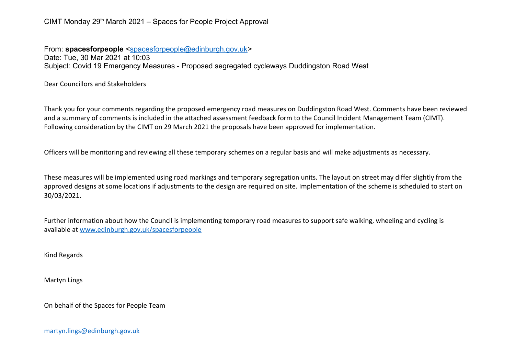CIMT Monday 29<sup>th</sup> March 2021 – Spaces for People Project Approval

From: **spacesforpeople** [<spacesforpeople@edinburgh.gov.uk>](mailto:spacesforpeople@edinburgh.gov.uk) Date: Tue, 30 Mar 2021 at 10:03 Subject: Covid 19 Emergency Measures - Proposed segregated cycleways Duddingston Road West

Dear Councillors and Stakeholders

Thank you for your comments regarding the proposed emergency road measures on Duddingston Road West. Comments have been reviewed and a summary of comments is included in the attached assessment feedback form to the Council Incident Management Team (CIMT). Following consideration by the CIMT on 29 March 2021 the proposals have been approved for implementation.

Officers will be monitoring and reviewing all these temporary schemes on a regular basis and will make adjustments as necessary.

These measures will be implemented using road markings and temporary segregation units. The layout on street may differ slightly from the approved designs at some locations if adjustments to the design are required on site. Implementation of the scheme is scheduled to start on 30/03/2021.

Further information about how the Council is implementing temporary road measures to support safe walking, wheeling and cycling is available at [www.edinburgh.gov.uk/spacesforpeople](http://www.edinburgh.gov.uk/spacesforpeople)

Kind Regards

Martyn Lings

On behalf of the Spaces for People Team

[martyn.lings@edinburgh.gov.uk](mailto:martyn.lings@edinburgh.gov.uk)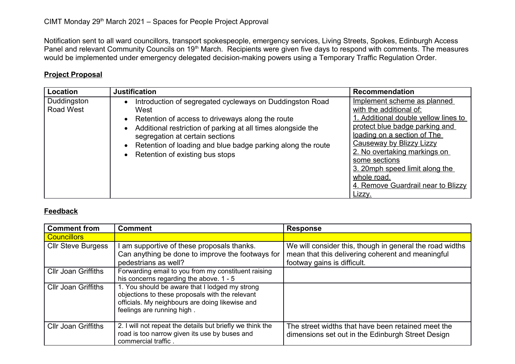Notification sent to all ward councillors, transport spokespeople, emergency services, Living Streets, Spokes, Edinburgh Access Panel and relevant Community Councils on 19<sup>th</sup> March. Recipients were given five days to respond with comments. The measures would be implemented under emergency delegated decision-making powers using a Temporary Traffic Regulation Order.

## **Project Proposal**

| Location                 | <b>Justification</b>                                                                                                                                                                                                                                                                                                            | Recommendation                                                                                                                                                                                                                                                                                                                                       |
|--------------------------|---------------------------------------------------------------------------------------------------------------------------------------------------------------------------------------------------------------------------------------------------------------------------------------------------------------------------------|------------------------------------------------------------------------------------------------------------------------------------------------------------------------------------------------------------------------------------------------------------------------------------------------------------------------------------------------------|
| Duddingston<br>Road West | Introduction of segregated cycleways on Duddingston Road<br>West<br>• Retention of access to driveways along the route<br>Additional restriction of parking at all times alongside the<br>segregation at certain sections<br>• Retention of loading and blue badge parking along the route<br>• Retention of existing bus stops | Implement scheme as planned<br>with the additional of:<br>1. Additional double yellow lines to<br>protect blue badge parking and<br>loading on a section of The<br><b>Causeway by Blizzy Lizzy</b><br>2. No overtaking markings on<br>some sections<br>3. 20mph speed limit along the<br>whole road.<br>4. Remove Guardrail near to Blizzy<br>Lizzy. |

## **Feedback**

| <b>Comment from</b>        | <b>Comment</b>                                                                                                                                                                     | <b>Response</b>                                                                                                                              |
|----------------------------|------------------------------------------------------------------------------------------------------------------------------------------------------------------------------------|----------------------------------------------------------------------------------------------------------------------------------------------|
| <b>Councillors</b>         |                                                                                                                                                                                    |                                                                                                                                              |
| <b>CIIr Steve Burgess</b>  | am supportive of these proposals thanks.<br>Can anything be done to improve the footways for<br>pedestrians as well?                                                               | We will consider this, though in general the road widths<br>mean that this delivering coherent and meaningful<br>footway gains is difficult. |
| <b>Cllr Joan Griffiths</b> | Forwarding email to you from my constituent raising<br>his concerns regarding the above. 1 - 5                                                                                     |                                                                                                                                              |
| <b>Cllr Joan Griffiths</b> | 1. You should be aware that I lodged my strong<br>objections to these proposals with the relevant<br>officials. My neighbours are doing likewise and<br>feelings are running high. |                                                                                                                                              |
| <b>Cllr Joan Griffiths</b> | 2. I will not repeat the details but briefly we think the<br>road is too narrow given its use by buses and<br>commercial traffic.                                                  | The street widths that have been retained meet the<br>dimensions set out in the Edinburgh Street Design                                      |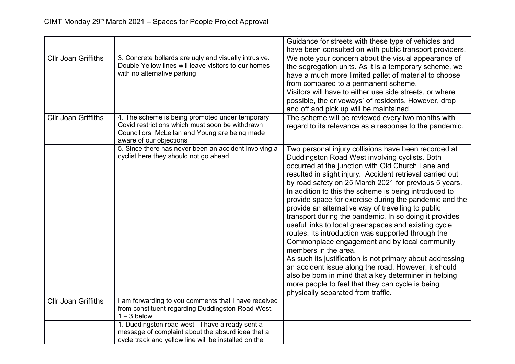|                                                          |                                                                                                                                                                                                 | Guidance for streets with these type of vehicles and                                                                                                                                                                                                                                                                                                                                                                                                                                                                                                                                                                                                                                                                                                                                                                                                                                                                                                                                |
|----------------------------------------------------------|-------------------------------------------------------------------------------------------------------------------------------------------------------------------------------------------------|-------------------------------------------------------------------------------------------------------------------------------------------------------------------------------------------------------------------------------------------------------------------------------------------------------------------------------------------------------------------------------------------------------------------------------------------------------------------------------------------------------------------------------------------------------------------------------------------------------------------------------------------------------------------------------------------------------------------------------------------------------------------------------------------------------------------------------------------------------------------------------------------------------------------------------------------------------------------------------------|
|                                                          |                                                                                                                                                                                                 | have been consulted on with public transport providers.                                                                                                                                                                                                                                                                                                                                                                                                                                                                                                                                                                                                                                                                                                                                                                                                                                                                                                                             |
| <b>Cllr Joan Griffiths</b><br><b>Cllr Joan Griffiths</b> | 3. Concrete bollards are ugly and visually intrusive.<br>Double Yellow lines will leave visitors to our homes<br>with no alternative parking<br>4. The scheme is being promoted under temporary | We note your concern about the visual appearance of<br>the segregation units. As it is a temporary scheme, we<br>have a much more limited pallet of material to choose<br>from compared to a permanent scheme.<br>Visitors will have to either use side streets, or where<br>possible, the driveways' of residents. However, drop<br>and off and pick up will be maintained.<br>The scheme will be reviewed every two months with                                                                                                                                                                                                                                                                                                                                                                                                                                                                                                                                                   |
|                                                          | Covid restrictions which must soon be withdrawn<br>Councillors McLellan and Young are being made<br>aware of our objections                                                                     | regard to its relevance as a response to the pandemic.                                                                                                                                                                                                                                                                                                                                                                                                                                                                                                                                                                                                                                                                                                                                                                                                                                                                                                                              |
|                                                          | 5. Since there has never been an accident involving a<br>cyclist here they should not go ahead.                                                                                                 | Two personal injury collisions have been recorded at<br>Duddingston Road West involving cyclists. Both<br>occurred at the junction with Old Church Lane and<br>resulted in slight injury. Accident retrieval carried out<br>by road safety on 25 March 2021 for previous 5 years.<br>In addition to this the scheme is being introduced to<br>provide space for exercise during the pandemic and the<br>provide an alternative way of travelling to public<br>transport during the pandemic. In so doing it provides<br>useful links to local greenspaces and existing cycle<br>routes. Its introduction was supported through the<br>Commonplace engagement and by local community<br>members in the area.<br>As such its justification is not primary about addressing<br>an accident issue along the road. However, it should<br>also be born in mind that a key determiner in helping<br>more people to feel that they can cycle is being<br>physically separated from traffic. |
| <b>Cllr Joan Griffiths</b>                               | I am forwarding to you comments that I have received<br>from constituent regarding Duddingston Road West.<br>$1 - 3$ below                                                                      |                                                                                                                                                                                                                                                                                                                                                                                                                                                                                                                                                                                                                                                                                                                                                                                                                                                                                                                                                                                     |
|                                                          | 1. Duddingston road west - I have already sent a                                                                                                                                                |                                                                                                                                                                                                                                                                                                                                                                                                                                                                                                                                                                                                                                                                                                                                                                                                                                                                                                                                                                                     |
|                                                          | message of complaint about the absurd idea that a                                                                                                                                               |                                                                                                                                                                                                                                                                                                                                                                                                                                                                                                                                                                                                                                                                                                                                                                                                                                                                                                                                                                                     |
|                                                          | cycle track and yellow line will be installed on the                                                                                                                                            |                                                                                                                                                                                                                                                                                                                                                                                                                                                                                                                                                                                                                                                                                                                                                                                                                                                                                                                                                                                     |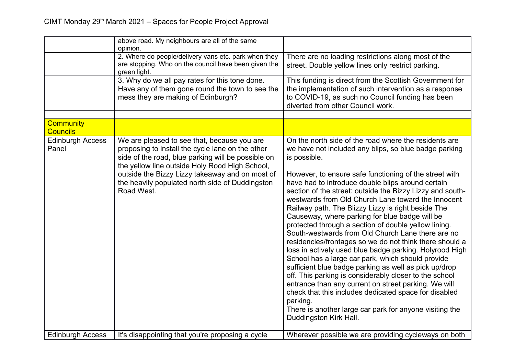|                                     | above road. My neighbours are all of the same<br>opinion.                                                                                                                                                                                                                                                                   |                                                                                                                                                                                                                                                                                                                                                                                                                                                                                                                                                                                                                                                                                                                                                                                                                                                                                                                                                                                                                                                                                                       |
|-------------------------------------|-----------------------------------------------------------------------------------------------------------------------------------------------------------------------------------------------------------------------------------------------------------------------------------------------------------------------------|-------------------------------------------------------------------------------------------------------------------------------------------------------------------------------------------------------------------------------------------------------------------------------------------------------------------------------------------------------------------------------------------------------------------------------------------------------------------------------------------------------------------------------------------------------------------------------------------------------------------------------------------------------------------------------------------------------------------------------------------------------------------------------------------------------------------------------------------------------------------------------------------------------------------------------------------------------------------------------------------------------------------------------------------------------------------------------------------------------|
|                                     | 2. Where do people/delivery vans etc. park when they<br>are stopping. Who on the council have been given the<br>green light.                                                                                                                                                                                                | There are no loading restrictions along most of the<br>street. Double yellow lines only restrict parking.                                                                                                                                                                                                                                                                                                                                                                                                                                                                                                                                                                                                                                                                                                                                                                                                                                                                                                                                                                                             |
|                                     | 3. Why do we all pay rates for this tone done.<br>Have any of them gone round the town to see the<br>mess they are making of Edinburgh?                                                                                                                                                                                     | This funding is direct from the Scottish Government for<br>the implementation of such intervention as a response<br>to COVID-19, as such no Council funding has been<br>diverted from other Council work.                                                                                                                                                                                                                                                                                                                                                                                                                                                                                                                                                                                                                                                                                                                                                                                                                                                                                             |
|                                     |                                                                                                                                                                                                                                                                                                                             |                                                                                                                                                                                                                                                                                                                                                                                                                                                                                                                                                                                                                                                                                                                                                                                                                                                                                                                                                                                                                                                                                                       |
| <b>Community</b><br><b>Councils</b> |                                                                                                                                                                                                                                                                                                                             |                                                                                                                                                                                                                                                                                                                                                                                                                                                                                                                                                                                                                                                                                                                                                                                                                                                                                                                                                                                                                                                                                                       |
| <b>Edinburgh Access</b><br>Panel    | We are pleased to see that, because you are<br>proposing to install the cycle lane on the other<br>side of the road, blue parking will be possible on<br>the yellow line outside Holy Rood High School,<br>outside the Bizzy Lizzy takeaway and on most of<br>the heavily populated north side of Duddingston<br>Road West. | On the north side of the road where the residents are<br>we have not included any blips, so blue badge parking<br>is possible.<br>However, to ensure safe functioning of the street with<br>have had to introduce double blips around certain<br>section of the street: outside the Bizzy Lizzy and south-<br>westwards from Old Church Lane toward the Innocent<br>Railway path. The Blizzy Lizzy is right beside The<br>Causeway, where parking for blue badge will be<br>protected through a section of double yellow lining.<br>South-westwards from Old Church Lane there are no<br>residencies/frontages so we do not think there should a<br>loss in actively used blue badge parking. Holyrood High<br>School has a large car park, which should provide<br>sufficient blue badge parking as well as pick up/drop<br>off. This parking is considerably closer to the school<br>entrance than any current on street parking. We will<br>check that this includes dedicated space for disabled<br>parking.<br>There is another large car park for anyone visiting the<br>Duddingston Kirk Hall. |
| <b>Edinburgh Access</b>             | It's disappointing that you're proposing a cycle                                                                                                                                                                                                                                                                            | Wherever possible we are providing cycleways on both                                                                                                                                                                                                                                                                                                                                                                                                                                                                                                                                                                                                                                                                                                                                                                                                                                                                                                                                                                                                                                                  |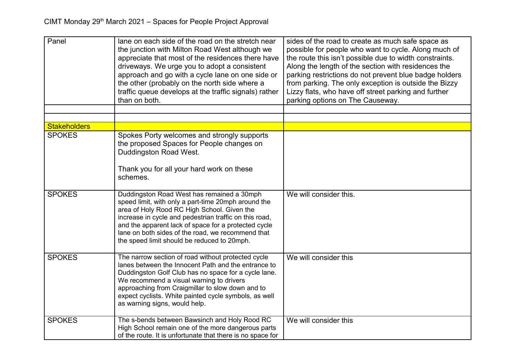| Panel               | lane on each side of the road on the stretch near<br>the junction with Milton Road West although we<br>appreciate that most of the residences there have<br>driveways. We urge you to adopt a consistent<br>approach and go with a cycle lane on one side or<br>the other (probably on the north side where a<br>traffic queue develops at the traffic signals) rather<br>than on both. | sides of the road to create as much safe space as<br>possible for people who want to cycle. Along much of<br>the route this isn't possible due to width constraints.<br>Along the length of the section with residences the<br>parking restrictions do not prevent blue badge holders<br>from parking. The only exception is outside the Bizzy<br>Lizzy flats, who have off street parking and further<br>parking options on The Causeway. |
|---------------------|-----------------------------------------------------------------------------------------------------------------------------------------------------------------------------------------------------------------------------------------------------------------------------------------------------------------------------------------------------------------------------------------|--------------------------------------------------------------------------------------------------------------------------------------------------------------------------------------------------------------------------------------------------------------------------------------------------------------------------------------------------------------------------------------------------------------------------------------------|
|                     |                                                                                                                                                                                                                                                                                                                                                                                         |                                                                                                                                                                                                                                                                                                                                                                                                                                            |
| <b>Stakeholders</b> |                                                                                                                                                                                                                                                                                                                                                                                         |                                                                                                                                                                                                                                                                                                                                                                                                                                            |
| <b>SPOKES</b>       | Spokes Porty welcomes and strongly supports<br>the proposed Spaces for People changes on<br>Duddingston Road West.<br>Thank you for all your hard work on these<br>schemes.                                                                                                                                                                                                             |                                                                                                                                                                                                                                                                                                                                                                                                                                            |
| <b>SPOKES</b>       | Duddingston Road West has remained a 30mph<br>speed limit, with only a part-time 20mph around the<br>area of Holy Rood RC High School. Given the<br>increase in cycle and pedestrian traffic on this road,<br>and the apparent lack of space for a protected cycle<br>lane on both sides of the road, we recommend that<br>the speed limit should be reduced to 20mph.                  | We will consider this.                                                                                                                                                                                                                                                                                                                                                                                                                     |
| <b>SPOKES</b>       | The narrow section of road without protected cycle<br>lanes between the Innocent Path and the entrance to<br>Duddingston Golf Club has no space for a cycle lane.<br>We recommend a visual warning to drivers<br>approaching from Craigmillar to slow down and to<br>expect cyclists. White painted cycle symbols, as well<br>as warning signs, would help.                             | We will consider this                                                                                                                                                                                                                                                                                                                                                                                                                      |
| <b>SPOKES</b>       | The s-bends between Bawsinch and Holy Rood RC<br>High School remain one of the more dangerous parts<br>of the route. It is unfortunate that there is no space for                                                                                                                                                                                                                       | We will consider this                                                                                                                                                                                                                                                                                                                                                                                                                      |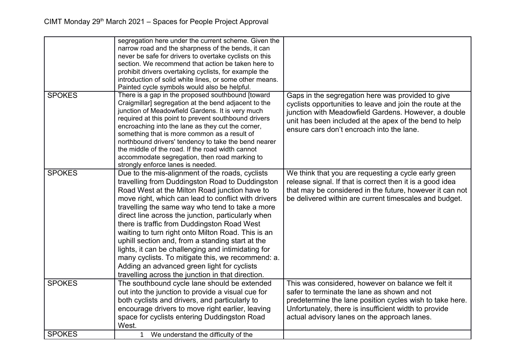|               | segregation here under the current scheme. Given the<br>narrow road and the sharpness of the bends, it can<br>never be safe for drivers to overtake cyclists on this<br>section. We recommend that action be taken here to<br>prohibit drivers overtaking cyclists, for example the<br>introduction of solid white lines, or some other means.<br>Painted cycle symbols would also be helpful.                                                                                                                                                                                                                                                                                              |                                                                                                                                                                                                                                                                               |
|---------------|---------------------------------------------------------------------------------------------------------------------------------------------------------------------------------------------------------------------------------------------------------------------------------------------------------------------------------------------------------------------------------------------------------------------------------------------------------------------------------------------------------------------------------------------------------------------------------------------------------------------------------------------------------------------------------------------|-------------------------------------------------------------------------------------------------------------------------------------------------------------------------------------------------------------------------------------------------------------------------------|
| <b>SPOKES</b> | There is a gap in the proposed southbound [toward<br>Craigmillar] segregation at the bend adjacent to the<br>junction of Meadowfield Gardens. It is very much<br>required at this point to prevent southbound drivers<br>encroaching into the lane as they cut the corner,<br>something that is more common as a result of<br>northbound drivers' tendency to take the bend nearer<br>the middle of the road. If the road width cannot<br>accommodate segregation, then road marking to<br>strongly enforce lanes is needed.                                                                                                                                                                | Gaps in the segregation here was provided to give<br>cyclists opportunities to leave and join the route at the<br>junction with Meadowfield Gardens. However, a double<br>unit has been included at the apex of the bend to help<br>ensure cars don't encroach into the lane. |
| <b>SPOKES</b> | Due to the mis-alignment of the roads, cyclists<br>travelling from Duddingston Road to Duddingston<br>Road West at the Milton Road junction have to<br>move right, which can lead to conflict with drivers<br>travelling the same way who tend to take a more<br>direct line across the junction, particularly when<br>there is traffic from Duddingston Road West<br>waiting to turn right onto Milton Road. This is an<br>uphill section and, from a standing start at the<br>lights, it can be challenging and intimidating for<br>many cyclists. To mitigate this, we recommend: a.<br>Adding an advanced green light for cyclists<br>travelling across the junction in that direction. | We think that you are requesting a cycle early green<br>release signal. If that is correct then it is a good idea<br>that may be considered in the future, however it can not<br>be delivered within are current timescales and budget.                                       |
| <b>SPOKES</b> | The southbound cycle lane should be extended<br>out into the junction to provide a visual cue for<br>both cyclists and drivers, and particularly to<br>encourage drivers to move right earlier, leaving<br>space for cyclists entering Duddingston Road<br>West.                                                                                                                                                                                                                                                                                                                                                                                                                            | This was considered, however on balance we felt it<br>safer to terminate the lane as shown and not<br>predetermine the lane position cycles wish to take here.<br>Unfortunately, there is insufficient width to provide<br>actual advisory lanes on the approach lanes.       |
| <b>SPOKES</b> | 1 We understand the difficulty of the                                                                                                                                                                                                                                                                                                                                                                                                                                                                                                                                                                                                                                                       |                                                                                                                                                                                                                                                                               |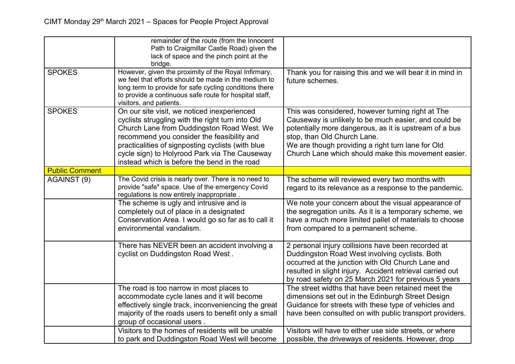|                       | remainder of the route (from the Innocent<br>Path to Craigmillar Castle Road) given the<br>lack of space and the pinch point at the<br>bridge.                                                                                                                                                                                                    |                                                                                                                                                                                                                                                                                                                |
|-----------------------|---------------------------------------------------------------------------------------------------------------------------------------------------------------------------------------------------------------------------------------------------------------------------------------------------------------------------------------------------|----------------------------------------------------------------------------------------------------------------------------------------------------------------------------------------------------------------------------------------------------------------------------------------------------------------|
| <b>SPOKES</b>         | However, given the proximity of the Royal Infirmary,<br>we feel that efforts should be made in the medium to<br>long term to provide for safe cycling conditions there<br>to provide a continuous safe route for hospital staff,<br>visitors, and patients.                                                                                       | Thank you for raising this and we will bear it in mind in<br>future schemes.                                                                                                                                                                                                                                   |
| <b>SPOKES</b>         | On our site visit, we noticed inexperienced<br>cyclists struggling with the right turn into Old<br>Church Lane from Duddingston Road West. We<br>recommend you consider the feasibility and<br>practicalities of signposting cyclists (with blue<br>cycle sign) to Holyrood Park via The Causeway<br>instead which is before the bend in the road | This was considered, however turning right at The<br>Causeway is unlikely to be much easier, and could be<br>potentially more dangerous, as it is upstream of a bus<br>stop, than Old Church Lane.<br>We are though providing a right turn lane for Old<br>Church Lane which should make this movement easier. |
| <b>Public Comment</b> |                                                                                                                                                                                                                                                                                                                                                   |                                                                                                                                                                                                                                                                                                                |
| AGAINST (9)           | The Covid crisis is nearly over. There is no need to<br>provide "safe" space. Use of the emergency Covid<br>regulations is now entirely inappropriate.                                                                                                                                                                                            | The scheme will reviewed every two months with<br>regard to its relevance as a response to the pandemic.                                                                                                                                                                                                       |
|                       | The scheme is ugly and intrusive and is<br>completely out of place in a designated<br>Conservation Area. I would go so far as to call it<br>environmental vandalism.                                                                                                                                                                              | We note your concern about the visual appearance of<br>the segregation units. As it is a temporary scheme, we<br>have a much more limited pallet of materials to choose<br>from compared to a permanent scheme.                                                                                                |
|                       | There has NEVER been an accident involving a<br>cyclist on Duddingston Road West.                                                                                                                                                                                                                                                                 | 2 personal injury collisions have been recorded at<br>Duddingston Road West involving cyclists. Both<br>occurred at the junction with Old Church Lane and<br>resulted in slight injury. Accident retrieval carried out<br>by road safety on 25 March 2021 for previous 5 years                                 |
|                       | The road is too narrow in most places to<br>accommodate cycle lanes and it will become<br>effectively single track, inconveniencing the great<br>majority of the roads users to benefit only a small<br>group of occasional users.                                                                                                                | The street widths that have been retained meet the<br>dimensions set out in the Edinburgh Street Design<br>Guidance for streets with these type of vehicles and<br>have been consulted on with public transport providers.                                                                                     |
|                       | Visitors to the homes of residents will be unable<br>to park and Duddingston Road West will become                                                                                                                                                                                                                                                | Visitors will have to either use side streets, or where<br>possible, the driveways of residents. However, drop                                                                                                                                                                                                 |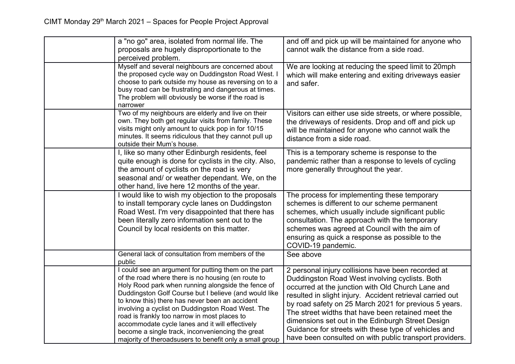| a "no go" area, isolated from normal life. The                                                                                                                                                                                                                                                                                                                                                                                                                                                                                                     | and off and pick up will be maintained for anyone who                                                                                                                                                                                                                                                                                                                                                                                                                                                         |
|----------------------------------------------------------------------------------------------------------------------------------------------------------------------------------------------------------------------------------------------------------------------------------------------------------------------------------------------------------------------------------------------------------------------------------------------------------------------------------------------------------------------------------------------------|---------------------------------------------------------------------------------------------------------------------------------------------------------------------------------------------------------------------------------------------------------------------------------------------------------------------------------------------------------------------------------------------------------------------------------------------------------------------------------------------------------------|
| proposals are hugely disproportionate to the                                                                                                                                                                                                                                                                                                                                                                                                                                                                                                       | cannot walk the distance from a side road.                                                                                                                                                                                                                                                                                                                                                                                                                                                                    |
| perceived problem.                                                                                                                                                                                                                                                                                                                                                                                                                                                                                                                                 |                                                                                                                                                                                                                                                                                                                                                                                                                                                                                                               |
| Myself and several neighbours are concerned about<br>the proposed cycle way on Duddingston Road West. I<br>choose to park outside my house as reversing on to a<br>busy road can be frustrating and dangerous at times.<br>The problem will obviously be worse if the road is<br>narrower                                                                                                                                                                                                                                                          | We are looking at reducing the speed limit to 20mph<br>which will make entering and exiting driveways easier<br>and safer.                                                                                                                                                                                                                                                                                                                                                                                    |
| Two of my neighbours are elderly and live on their<br>own. They both get regular visits from family. These<br>visits might only amount to quick pop in for 10/15<br>minutes. It seems ridiculous that they cannot pull up<br>outside their Mum's house.                                                                                                                                                                                                                                                                                            | Visitors can either use side streets, or where possible,<br>the driveways of residents. Drop and off and pick up<br>will be maintained for anyone who cannot walk the<br>distance from a side road.                                                                                                                                                                                                                                                                                                           |
| I, like so many other Edinburgh residents, feel<br>quite enough is done for cyclists in the city. Also,<br>the amount of cyclists on the road is very<br>seasonal and/ or weather dependant. We, on the<br>other hand, live here 12 months of the year.                                                                                                                                                                                                                                                                                            | This is a temporary scheme is response to the<br>pandemic rather than a response to levels of cycling<br>more generally throughout the year.                                                                                                                                                                                                                                                                                                                                                                  |
| I would like to wish my objection to the proposals<br>to install temporary cycle lanes on Duddingston<br>Road West. I'm very disappointed that there has<br>been literally zero information sent out to the<br>Council by local residents on this matter.                                                                                                                                                                                                                                                                                          | The process for implementing these temporary<br>schemes is different to our scheme permanent<br>schemes, which usually include significant public<br>consultation. The approach with the temporary<br>schemes was agreed at Council with the aim of<br>ensuring as quick a response as possible to the<br>COVID-19 pandemic.                                                                                                                                                                                  |
| General lack of consultation from members of the<br>public                                                                                                                                                                                                                                                                                                                                                                                                                                                                                         | See above                                                                                                                                                                                                                                                                                                                                                                                                                                                                                                     |
| I could see an argument for putting them on the part<br>of the road where there is no housing (en route to<br>Holy Rood park when running alongside the fence of<br>Duddingston Golf Course but I believe (and would like<br>to know this) there has never been an accident<br>involving a cyclist on Duddingston Road West. The<br>road is frankly too narrow in most places to<br>accommodate cycle lanes and it will effectively<br>become a single track, inconveniencing the great<br>majority of theroadsusers to benefit only a small group | 2 personal injury collisions have been recorded at<br>Duddingston Road West involving cyclists. Both<br>occurred at the junction with Old Church Lane and<br>resulted in slight injury. Accident retrieval carried out<br>by road safety on 25 March 2021 for previous 5 years.<br>The street widths that have been retained meet the<br>dimensions set out in the Edinburgh Street Design<br>Guidance for streets with these type of vehicles and<br>have been consulted on with public transport providers. |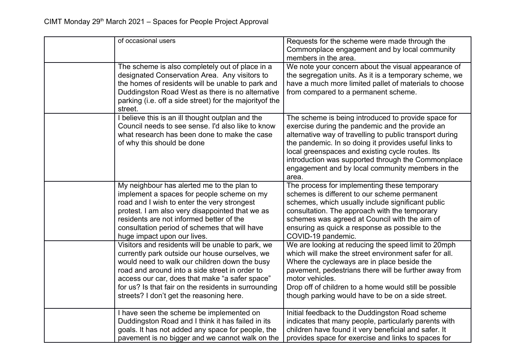| of occasional users                                                                                                                                                                                                                                                                                                                                          | Requests for the scheme were made through the<br>Commonplace engagement and by local community<br>members in the area.                                                                                                                                                                                                                                                                             |
|--------------------------------------------------------------------------------------------------------------------------------------------------------------------------------------------------------------------------------------------------------------------------------------------------------------------------------------------------------------|----------------------------------------------------------------------------------------------------------------------------------------------------------------------------------------------------------------------------------------------------------------------------------------------------------------------------------------------------------------------------------------------------|
| The scheme is also completely out of place in a<br>designated Conservation Area. Any visitors to<br>the homes of residents will be unable to park and<br>Duddingston Road West as there is no alternative<br>parking (i.e. off a side street) for the majority of the<br>street.                                                                             | We note your concern about the visual appearance of<br>the segregation units. As it is a temporary scheme, we<br>have a much more limited pallet of materials to choose<br>from compared to a permanent scheme.                                                                                                                                                                                    |
| I believe this is an ill thought outplan and the<br>Council needs to see sense. I'd also like to know<br>what research has been done to make the case<br>of why this should be done                                                                                                                                                                          | The scheme is being introduced to provide space for<br>exercise during the pandemic and the provide an<br>alternative way of travelling to public transport during<br>the pandemic. In so doing it provides useful links to<br>local greenspaces and existing cycle routes. Its<br>introduction was supported through the Commonplace<br>engagement and by local community members in the<br>area. |
| My neighbour has alerted me to the plan to<br>implement a spaces for people scheme on my<br>road and I wish to enter the very strongest<br>protest. I am also very disappointed that we as<br>residents are not informed better of the<br>consultation period of schemes that will have<br>huge impact upon our lives.                                       | The process for implementing these temporary<br>schemes is different to our scheme permanent<br>schemes, which usually include significant public<br>consultation. The approach with the temporary<br>schemes was agreed at Council with the aim of<br>ensuring as quick a response as possible to the<br>COVID-19 pandemic.                                                                       |
| Visitors and residents will be unable to park, we<br>currently park outside our house ourselves, we<br>would need to walk our children down the busy<br>road and around into a side street in order to<br>access our car, does that make "a safer space"<br>for us? Is that fair on the residents in surrounding<br>streets? I don't get the reasoning here. | We are looking at reducing the speed limit to 20mph<br>which will make the street environment safer for all.<br>Where the cycleways are in place beside the<br>pavement, pedestrians there will be further away from<br>motor vehicles.<br>Drop off of children to a home would still be possible<br>though parking would have to be on a side street.                                             |
| I have seen the scheme be implemented on<br>Duddingston Road and I think it has failed in its<br>goals. It has not added any space for people, the<br>pavement is no bigger and we cannot walk on the                                                                                                                                                        | Initial feedback to the Duddingston Road scheme<br>indicates that many people, particularly parents with<br>children have found it very beneficial and safer. It<br>provides space for exercise and links to spaces for                                                                                                                                                                            |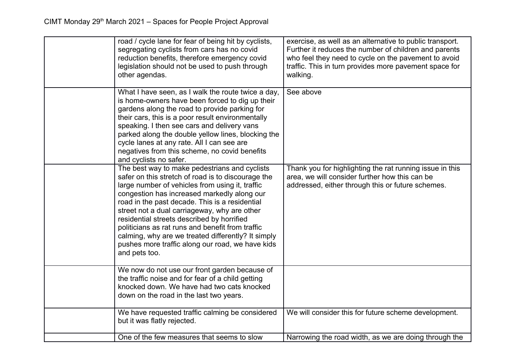| road / cycle lane for fear of being hit by cyclists,<br>segregating cyclists from cars has no covid<br>reduction benefits, therefore emergency covid<br>legislation should not be used to push through<br>other agendas.                                                                                                                                                                                                                                                                                                             | exercise, as well as an alternative to public transport.<br>Further it reduces the number of children and parents<br>who feel they need to cycle on the pavement to avoid<br>traffic. This in turn provides more pavement space for<br>walking. |
|--------------------------------------------------------------------------------------------------------------------------------------------------------------------------------------------------------------------------------------------------------------------------------------------------------------------------------------------------------------------------------------------------------------------------------------------------------------------------------------------------------------------------------------|-------------------------------------------------------------------------------------------------------------------------------------------------------------------------------------------------------------------------------------------------|
| What I have seen, as I walk the route twice a day,<br>is home-owners have been forced to dig up their<br>gardens along the road to provide parking for<br>their cars, this is a poor result environmentally<br>speaking. I then see cars and delivery vans<br>parked along the double yellow lines, blocking the<br>cycle lanes at any rate. All I can see are<br>negatives from this scheme, no covid benefits<br>and cyclists no safer.                                                                                            | See above                                                                                                                                                                                                                                       |
| The best way to make pedestrians and cyclists<br>safer on this stretch of road is to discourage the<br>large number of vehicles from using it, traffic<br>congestion has increased markedly along our<br>road in the past decade. This is a residential<br>street not a dual carriageway, why are other<br>residential streets described by horrified<br>politicians as rat runs and benefit from traffic<br>calming, why are we treated differently? It simply<br>pushes more traffic along our road, we have kids<br>and pets too. | Thank you for highlighting the rat running issue in this<br>area, we will consider further how this can be<br>addressed, either through this or future schemes.                                                                                 |
| We now do not use our front garden because of<br>the traffic noise and for fear of a child getting<br>knocked down. We have had two cats knocked<br>down on the road in the last two years.                                                                                                                                                                                                                                                                                                                                          |                                                                                                                                                                                                                                                 |
| We have requested traffic calming be considered<br>but it was flatly rejected.                                                                                                                                                                                                                                                                                                                                                                                                                                                       | We will consider this for future scheme development.                                                                                                                                                                                            |
| One of the few measures that seems to slow                                                                                                                                                                                                                                                                                                                                                                                                                                                                                           | Narrowing the road width, as we are doing through the                                                                                                                                                                                           |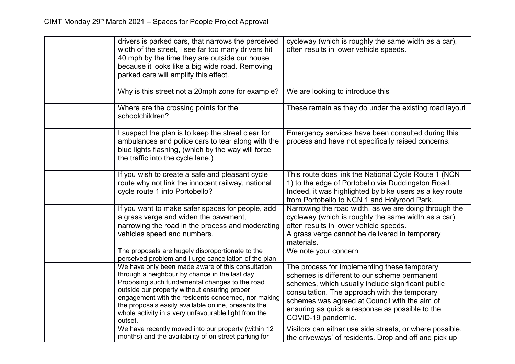| drivers is parked cars, that narrows the perceived<br>width of the street, I see far too many drivers hit<br>40 mph by the time they are outside our house<br>because it looks like a big wide road. Removing<br>parked cars will amplify this effect.                                                                                                                                 | cycleway (which is roughly the same width as a car),<br>often results in lower vehicle speeds.                                                                                                                                                                                                                               |
|----------------------------------------------------------------------------------------------------------------------------------------------------------------------------------------------------------------------------------------------------------------------------------------------------------------------------------------------------------------------------------------|------------------------------------------------------------------------------------------------------------------------------------------------------------------------------------------------------------------------------------------------------------------------------------------------------------------------------|
| Why is this street not a 20mph zone for example?                                                                                                                                                                                                                                                                                                                                       | We are looking to introduce this                                                                                                                                                                                                                                                                                             |
| Where are the crossing points for the<br>schoolchildren?                                                                                                                                                                                                                                                                                                                               | These remain as they do under the existing road layout                                                                                                                                                                                                                                                                       |
| I suspect the plan is to keep the street clear for<br>ambulances and police cars to tear along with the<br>blue lights flashing, (which by the way will force<br>the traffic into the cycle lane.)                                                                                                                                                                                     | Emergency services have been consulted during this<br>process and have not specifically raised concerns.                                                                                                                                                                                                                     |
| If you wish to create a safe and pleasant cycle<br>route why not link the innocent railway, national<br>cycle route 1 into Portobello?                                                                                                                                                                                                                                                 | This route does link the National Cycle Route 1 (NCN<br>1) to the edge of Portobello via Duddingston Road.<br>Indeed, it was highlighted by bike users as a key route<br>from Portobello to NCN 1 and Holyrood Park.                                                                                                         |
| If you want to make safer spaces for people, add<br>a grass verge and widen the pavement,<br>narrowing the road in the process and moderating<br>vehicles speed and numbers.                                                                                                                                                                                                           | Narrowing the road width, as we are doing through the<br>cycleway (which is roughly the same width as a car),<br>often results in lower vehicle speeds.<br>A grass verge cannot be delivered in temporary<br>materials.                                                                                                      |
| The proposals are hugely disproportionate to the<br>perceived problem and I urge cancellation of the plan.                                                                                                                                                                                                                                                                             | We note your concern                                                                                                                                                                                                                                                                                                         |
| We have only been made aware of this consultation<br>through a neighbour by chance in the last day.<br>Proposing such fundamental changes to the road<br>outside our property without ensuring proper<br>engagement with the residents concerned, nor making<br>the proposals easily available online, presents the<br>whole activity in a very unfavourable light from the<br>outset. | The process for implementing these temporary<br>schemes is different to our scheme permanent<br>schemes, which usually include significant public<br>consultation. The approach with the temporary<br>schemes was agreed at Council with the aim of<br>ensuring as quick a response as possible to the<br>COVID-19 pandemic. |
| We have recently moved into our property (within 12<br>months) and the availability of on street parking for                                                                                                                                                                                                                                                                           | Visitors can either use side streets, or where possible,<br>the driveways' of residents. Drop and off and pick up                                                                                                                                                                                                            |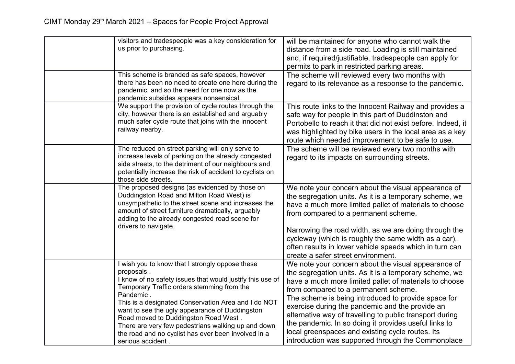| visitors and tradespeople was a key consideration for<br>us prior to purchasing.                                                                                                                                                                                                                                                                                                                                                                    | will be maintained for anyone who cannot walk the<br>distance from a side road. Loading is still maintained<br>and, if required/justifiable, tradespeople can apply for<br>permits to park in restricted parking areas.                                                                                                                                                                                                                                                                            |
|-----------------------------------------------------------------------------------------------------------------------------------------------------------------------------------------------------------------------------------------------------------------------------------------------------------------------------------------------------------------------------------------------------------------------------------------------------|----------------------------------------------------------------------------------------------------------------------------------------------------------------------------------------------------------------------------------------------------------------------------------------------------------------------------------------------------------------------------------------------------------------------------------------------------------------------------------------------------|
| This scheme is branded as safe spaces, however<br>there has been no need to create one here during the<br>pandemic, and so the need for one now as the<br>pandemic subsides appears nonsensical.                                                                                                                                                                                                                                                    | The scheme will reviewed every two months with<br>regard to its relevance as a response to the pandemic.                                                                                                                                                                                                                                                                                                                                                                                           |
| We support the provision of cycle routes through the<br>city, however there is an established and arguably<br>much safer cycle route that joins with the innocent<br>railway nearby.                                                                                                                                                                                                                                                                | This route links to the Innocent Railway and provides a<br>safe way for people in this part of Duddinston and<br>Portobello to reach it that did not exist before. Indeed, it<br>was highlighted by bike users in the local area as a key<br>route which needed improvement to be safe to use.                                                                                                                                                                                                     |
| The reduced on street parking will only serve to<br>increase levels of parking on the already congested<br>side streets, to the detriment of our neighbours and<br>potentially increase the risk of accident to cyclists on<br>those side streets.                                                                                                                                                                                                  | The scheme will be reviewed every two months with<br>regard to its impacts on surrounding streets.                                                                                                                                                                                                                                                                                                                                                                                                 |
| The proposed designs (as evidenced by those on<br>Duddingston Road and Milton Road West) is<br>unsympathetic to the street scene and increases the<br>amount of street furniture dramatically, arguably<br>adding to the already congested road scene for<br>drivers to navigate.                                                                                                                                                                   | We note your concern about the visual appearance of<br>the segregation units. As it is a temporary scheme, we<br>have a much more limited pallet of materials to choose<br>from compared to a permanent scheme.                                                                                                                                                                                                                                                                                    |
|                                                                                                                                                                                                                                                                                                                                                                                                                                                     | Narrowing the road width, as we are doing through the<br>cycleway (which is roughly the same width as a car),<br>often results in lower vehicle speeds which in turn can<br>create a safer street environment.                                                                                                                                                                                                                                                                                     |
| I wish you to know that I strongly oppose these<br>proposals.<br>I know of no safety issues that would justify this use of<br>Temporary Traffic orders stemming from the<br>Pandemic.<br>This is a designated Conservation Area and I do NOT<br>want to see the ugly appearance of Duddingston<br>Road moved to Duddingston Road West.<br>There are very few pedestrians walking up and down<br>the road and no cyclist has ever been involved in a | We note your concern about the visual appearance of<br>the segregation units. As it is a temporary scheme, we<br>have a much more limited pallet of materials to choose<br>from compared to a permanent scheme.<br>The scheme is being introduced to provide space for<br>exercise during the pandemic and the provide an<br>alternative way of travelling to public transport during<br>the pandemic. In so doing it provides useful links to<br>local greenspaces and existing cycle routes. Its |
| serious accident.                                                                                                                                                                                                                                                                                                                                                                                                                                   | introduction was supported through the Commonplace                                                                                                                                                                                                                                                                                                                                                                                                                                                 |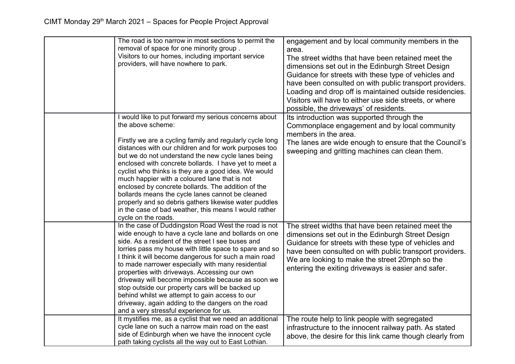| The road is too narrow in most sections to permit the<br>removal of space for one minority group.<br>Visitors to our homes, including important service<br>providers, will have nowhere to park.                                                                                                                                                                                                                                                                                                                                                                                                                                                                           | engagement and by local community members in the<br>area.<br>The street widths that have been retained meet the<br>dimensions set out in the Edinburgh Street Design<br>Guidance for streets with these type of vehicles and<br>have been consulted on with public transport providers.<br>Loading and drop off is maintained outside residencies.<br>Visitors will have to either use side streets, or where<br>possible, the driveways' of residents. |
|----------------------------------------------------------------------------------------------------------------------------------------------------------------------------------------------------------------------------------------------------------------------------------------------------------------------------------------------------------------------------------------------------------------------------------------------------------------------------------------------------------------------------------------------------------------------------------------------------------------------------------------------------------------------------|---------------------------------------------------------------------------------------------------------------------------------------------------------------------------------------------------------------------------------------------------------------------------------------------------------------------------------------------------------------------------------------------------------------------------------------------------------|
| I would like to put forward my serious concerns about<br>the above scheme:<br>Firstly we are a cycling family and regularly cycle long<br>distances with our children and for work purposes too<br>but we do not understand the new cycle lanes being<br>enclosed with concrete bollards. I have yet to meet a<br>cyclist who thinks is they are a good idea. We would<br>much happier with a coloured lane that is not<br>enclosed by concrete bollards. The addition of the<br>bollards means the cycle lanes cannot be cleaned<br>properly and so debris gathers likewise water puddles<br>in the case of bad weather, this means I would rather<br>cycle on the roads. | Its introduction was supported through the<br>Commonplace engagement and by local community<br>members in the area.<br>The lanes are wide enough to ensure that the Council's<br>sweeping and gritting machines can clean them.                                                                                                                                                                                                                         |
| In the case of Duddingston Road West the road is not<br>wide enough to have a cycle lane and bollards on one<br>side. As a resident of the street I see buses and<br>lorries pass my house with little space to spare and so<br>I think it will become dangerous for such a main road<br>to made narrower especially with many residential<br>properties with driveways. Accessing our own<br>driveway will become impossible because as soon we<br>stop outside our property cars will be backed up<br>behind whilst we attempt to gain access to our<br>driveway, again adding to the dangers on the road<br>and a very stressful experience for us.                     | The street widths that have been retained meet the<br>dimensions set out in the Edinburgh Street Design<br>Guidance for streets with these type of vehicles and<br>have been consulted on with public transport providers.<br>We are looking to make the street 20mph so the<br>entering the exiting driveways is easier and safer.                                                                                                                     |
| It mystifies me, as a cyclist that we need an additional<br>cycle lane on such a narrow main road on the east<br>side of Edinburgh when we have the innocent cycle<br>path taking cyclists all the way out to East Lothian.                                                                                                                                                                                                                                                                                                                                                                                                                                                | The route help to link people with segregated<br>infrastructure to the innocent railway path. As stated<br>above, the desire for this link came though clearly from                                                                                                                                                                                                                                                                                     |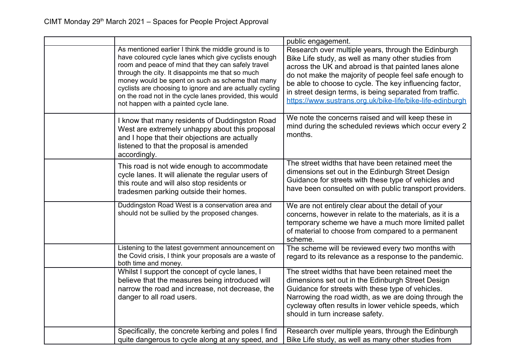|                                                                                                                                                                                                                                                                                                                                                                                                                                            | public engagement.                                                                                                                                                                                                                                                                                                                                                                                               |
|--------------------------------------------------------------------------------------------------------------------------------------------------------------------------------------------------------------------------------------------------------------------------------------------------------------------------------------------------------------------------------------------------------------------------------------------|------------------------------------------------------------------------------------------------------------------------------------------------------------------------------------------------------------------------------------------------------------------------------------------------------------------------------------------------------------------------------------------------------------------|
| As mentioned earlier I think the middle ground is to<br>have coloured cycle lanes which give cyclists enough<br>room and peace of mind that they can safely travel<br>through the city. It disappoints me that so much<br>money would be spent on such as scheme that many<br>cyclists are choosing to ignore and are actually cycling<br>on the road not in the cycle lanes provided, this would<br>not happen with a painted cycle lane. | Research over multiple years, through the Edinburgh<br>Bike Life study, as well as many other studies from<br>across the UK and abroad is that painted lanes alone<br>do not make the majority of people feel safe enough to<br>be able to choose to cycle. The key influencing factor,<br>in street design terms, is being separated from traffic.<br>https://www.sustrans.org.uk/bike-life/bike-life-edinburgh |
| I know that many residents of Duddingston Road<br>West are extremely unhappy about this proposal<br>and I hope that their objections are actually<br>listened to that the proposal is amended<br>accordingly.                                                                                                                                                                                                                              | We note the concerns raised and will keep these in<br>mind during the scheduled reviews which occur every 2<br>months.                                                                                                                                                                                                                                                                                           |
| This road is not wide enough to accommodate<br>cycle lanes. It will alienate the regular users of<br>this route and will also stop residents or<br>tradesmen parking outside their homes.                                                                                                                                                                                                                                                  | The street widths that have been retained meet the<br>dimensions set out in the Edinburgh Street Design<br>Guidance for streets with these type of vehicles and<br>have been consulted on with public transport providers.                                                                                                                                                                                       |
| Duddingston Road West is a conservation area and<br>should not be sullied by the proposed changes.                                                                                                                                                                                                                                                                                                                                         | We are not entirely clear about the detail of your<br>concerns, however in relate to the materials, as it is a<br>temporary scheme we have a much more limited pallet<br>of material to choose from compared to a permanent<br>scheme.                                                                                                                                                                           |
| Listening to the latest government announcement on<br>the Covid crisis, I think your proposals are a waste of<br>both time and money.                                                                                                                                                                                                                                                                                                      | The scheme will be reviewed every two months with<br>regard to its relevance as a response to the pandemic.                                                                                                                                                                                                                                                                                                      |
| Whilst I support the concept of cycle lanes, I<br>believe that the measures being introduced will<br>narrow the road and increase, not decrease, the<br>danger to all road users.                                                                                                                                                                                                                                                          | The street widths that have been retained meet the<br>dimensions set out in the Edinburgh Street Design<br>Guidance for streets with these type of vehicles.<br>Narrowing the road width, as we are doing through the<br>cycleway often results in lower vehicle speeds, which<br>should in turn increase safety.                                                                                                |
| Specifically, the concrete kerbing and poles I find<br>quite dangerous to cycle along at any speed, and                                                                                                                                                                                                                                                                                                                                    | Research over multiple years, through the Edinburgh<br>Bike Life study, as well as many other studies from                                                                                                                                                                                                                                                                                                       |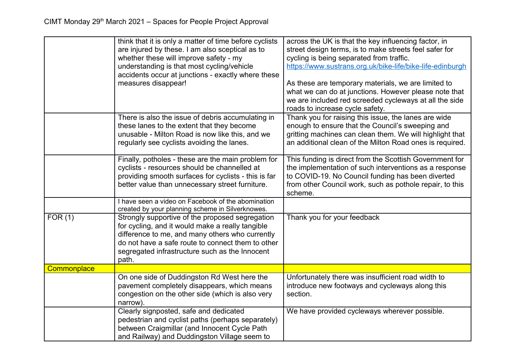|             | think that it is only a matter of time before cyclists<br>are injured by these. I am also sceptical as to<br>whether these will improve safety - my<br>understanding is that most cycling/vehicle<br>accidents occur at junctions - exactly where these<br>measures disappear! | across the UK is that the key influencing factor, in<br>street design terms, is to make streets feel safer for<br>cycling is being separated from traffic.<br>https://www.sustrans.org.uk/bike-life/bike-life-edinburgh<br>As these are temporary materials, we are limited to<br>what we can do at junctions. However please note that<br>we are included red screeded cycleways at all the side<br>roads to increase cycle safety. |
|-------------|--------------------------------------------------------------------------------------------------------------------------------------------------------------------------------------------------------------------------------------------------------------------------------|--------------------------------------------------------------------------------------------------------------------------------------------------------------------------------------------------------------------------------------------------------------------------------------------------------------------------------------------------------------------------------------------------------------------------------------|
|             | There is also the issue of debris accumulating in<br>these lanes to the extent that they become<br>unusable - Milton Road is now like this, and we<br>regularly see cyclists avoiding the lanes.                                                                               | Thank you for raising this issue, the lanes are wide<br>enough to ensure that the Council's sweeping and<br>gritting machines can clean them. We will highlight that<br>an additional clean of the Milton Road ones is required.                                                                                                                                                                                                     |
|             | Finally, potholes - these are the main problem for<br>cyclists - resources should be channelled at<br>providing smooth surfaces for cyclists - this is far<br>better value than unnecessary street furniture.                                                                  | This funding is direct from the Scottish Government for<br>the implementation of such interventions as a response<br>to COVID-19. No Council funding has been diverted<br>from other Council work, such as pothole repair, to this<br>scheme.                                                                                                                                                                                        |
|             | I have seen a video on Facebook of the abomination<br>created by your planning scheme in Silverknowes.                                                                                                                                                                         |                                                                                                                                                                                                                                                                                                                                                                                                                                      |
| FOR(1)      | Strongly supportive of the proposed segregation<br>for cycling, and it would make a really tangible<br>difference to me, and many others who currently<br>do not have a safe route to connect them to other<br>segregated infrastructure such as the Innocent<br>path.         | Thank you for your feedback                                                                                                                                                                                                                                                                                                                                                                                                          |
| Commonplace |                                                                                                                                                                                                                                                                                |                                                                                                                                                                                                                                                                                                                                                                                                                                      |
|             | On one side of Duddingston Rd West here the<br>pavement completely disappears, which means<br>congestion on the other side (which is also very<br>narrow).                                                                                                                     | Unfortunately there was insufficient road width to<br>introduce new footways and cycleways along this<br>section.                                                                                                                                                                                                                                                                                                                    |
|             | Clearly signposted, safe and dedicated<br>pedestrian and cyclist paths (perhaps separately)<br>between Craigmillar (and Innocent Cycle Path<br>and Railway) and Duddingston Village seem to                                                                                    | We have provided cycleways wherever possible.                                                                                                                                                                                                                                                                                                                                                                                        |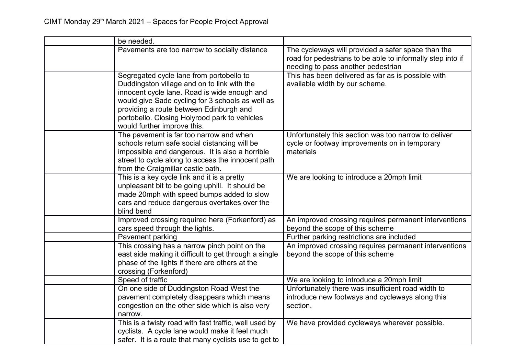| be needed.                                                                                                                                                                                                                                                                                                             |                                                                                                                                                        |
|------------------------------------------------------------------------------------------------------------------------------------------------------------------------------------------------------------------------------------------------------------------------------------------------------------------------|--------------------------------------------------------------------------------------------------------------------------------------------------------|
| Pavements are too narrow to socially distance                                                                                                                                                                                                                                                                          | The cycleways will provided a safer space than the<br>road for pedestrians to be able to informally step into if<br>needing to pass another pedestrian |
| Segregated cycle lane from portobello to<br>Duddingston village and on to link with the<br>innocent cycle lane. Road is wide enough and<br>would give Sade cycling for 3 schools as well as<br>providing a route between Edinburgh and<br>portobello. Closing Holyrood park to vehicles<br>would further improve this. | This has been delivered as far as is possible with<br>available width by our scheme.                                                                   |
| The pavement is far too narrow and when<br>schools return safe social distancing will be<br>impossible and dangerous. It is also a horrible<br>street to cycle along to access the innocent path<br>from the Craigmillar castle path.                                                                                  | Unfortunately this section was too narrow to deliver<br>cycle or footway improvements on in temporary<br>materials                                     |
| This is a key cycle link and it is a pretty<br>unpleasant bit to be going uphill. It should be<br>made 20mph with speed bumps added to slow<br>cars and reduce dangerous overtakes over the<br>blind bend                                                                                                              | We are looking to introduce a 20mph limit                                                                                                              |
| Improved crossing required here (Forkenford) as<br>cars speed through the lights.                                                                                                                                                                                                                                      | An improved crossing requires permanent interventions<br>beyond the scope of this scheme                                                               |
| Pavement parking                                                                                                                                                                                                                                                                                                       | Further parking restrictions are included                                                                                                              |
| This crossing has a narrow pinch point on the<br>east side making it difficult to get through a single<br>phase of the lights if there are others at the<br>crossing (Forkenford)                                                                                                                                      | An improved crossing requires permanent interventions<br>beyond the scope of this scheme                                                               |
| Speed of traffic                                                                                                                                                                                                                                                                                                       | We are looking to introduce a 20mph limit                                                                                                              |
| On one side of Duddingston Road West the<br>pavement completely disappears which means<br>congestion on the other side which is also very<br>narrow.                                                                                                                                                                   | Unfortunately there was insufficient road width to<br>introduce new footways and cycleways along this<br>section.                                      |
| This is a twisty road with fast traffic, well used by<br>cyclists. A cycle lane would make it feel much<br>safer. It is a route that many cyclists use to get to                                                                                                                                                       | We have provided cycleways wherever possible.                                                                                                          |